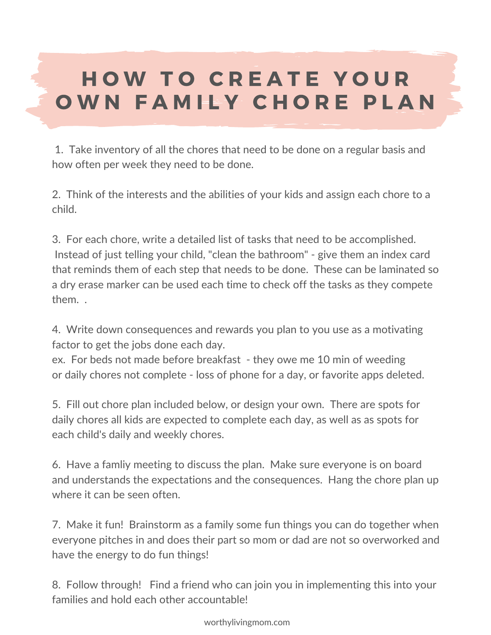worthylivingmom.com

## H O W T O C R E A T E Y O U R O W N F A M I L Y CHORE PLAN

1. Take inventory of all the chores that need to be done on a regular basis and how often per week they need to be done.

2. Think of the interests and the abilities of your kids and assign each chore to a child.

3. For each chore, write a detailed list of tasks that need to be accomplished. Instead of just telling your child, "clean the bathroom" - give them an index card that reminds them of each step that needs to be done. These can be laminated so a dry erase marker can be used each time to check off the tasks as they compete them. .

4. Write down consequences and rewards you plan to you use as a motivating factor to get the jobs done each day. ex. For beds not made before breakfast - they owe me 10 min of weeding or daily chores not complete - loss of phone for a day, or favorite apps deleted.

5. Fill out chore plan included below, or design your own. There are spots for daily chores all kids are expected to complete each day, as well as as spots for each child's daily and weekly chores.

6. Have a famliy meeting to discuss the plan. Make sure everyone is on board and understands the expectations and the consequences. Hang the chore plan up where it can be seen often.

7. Make it fun! Brainstorm as a family some fun things you can do together when everyone pitches in and does their part so mom or dad are not so overworked and have the energy to do fun things!

8. Follow through! Find a friend who can join you in implementing this into your families and hold each other accountable!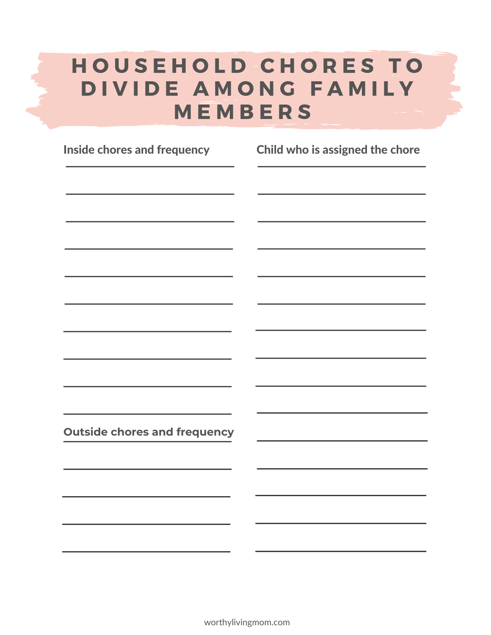**Outside chores and frequency**

## HOUSEHOLD CHORES TO D I V I D E A M O N G F A M I L Y M E M B E R S

Inside chores and frequency Child who is assigned the chore

worthylivingmom.com